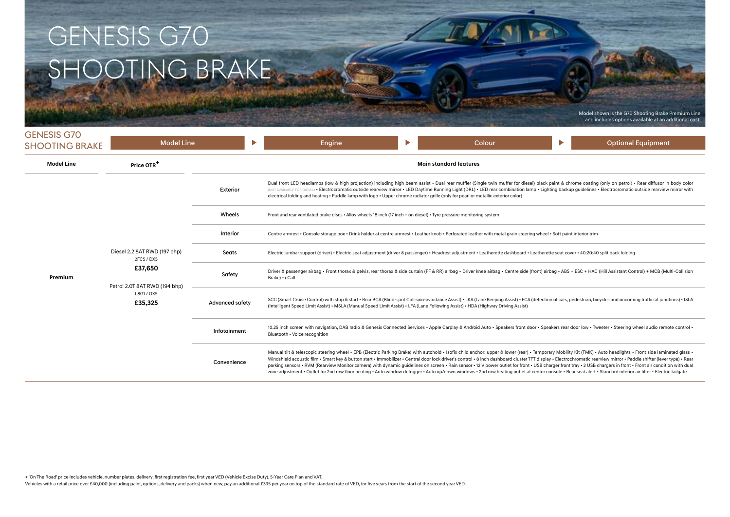# GENESIS G70 SHOOTING BRAKE

Model shown is the G70 Shooting Brake Premium Line and includes options available at an additional cost.

| <b>GENESIS G70</b>    |                                                                                                                                |                        |              |                                                                                                                                                                                                                                                                                                                                                                                                                                                                                                                                                                                                                                                                                                                                                                                                                                                                                   |                                                                                                                                                                                                                                            |                               |        |  |   |                           |  |  |
|-----------------------|--------------------------------------------------------------------------------------------------------------------------------|------------------------|--------------|-----------------------------------------------------------------------------------------------------------------------------------------------------------------------------------------------------------------------------------------------------------------------------------------------------------------------------------------------------------------------------------------------------------------------------------------------------------------------------------------------------------------------------------------------------------------------------------------------------------------------------------------------------------------------------------------------------------------------------------------------------------------------------------------------------------------------------------------------------------------------------------|--------------------------------------------------------------------------------------------------------------------------------------------------------------------------------------------------------------------------------------------|-------------------------------|--------|--|---|---------------------------|--|--|
| <b>SHOOTING BRAKE</b> | <b>Model Line</b>                                                                                                              |                        | Þ.           | Engine                                                                                                                                                                                                                                                                                                                                                                                                                                                                                                                                                                                                                                                                                                                                                                                                                                                                            | Þ                                                                                                                                                                                                                                          |                               | Colour |  | Þ | <b>Optional Equipment</b> |  |  |
| <b>Model Line</b>     | Price OTR <sup>+</sup>                                                                                                         |                        |              |                                                                                                                                                                                                                                                                                                                                                                                                                                                                                                                                                                                                                                                                                                                                                                                                                                                                                   |                                                                                                                                                                                                                                            | <b>Main standard features</b> |        |  |   |                           |  |  |
|                       |                                                                                                                                | Exterior               |              | Dual front LED headlamps (low & high projection) including high beam assist . Dual rear muffler (Single twin muffer for diesel) black paint & chrome coating (only on petrol) . Rear diffusor in body color<br>(NOT AVAILABLE FOR DIESEL) . Electrocromatic outside rearview mirror . LED Daytime Running Light (DRL) . LED rear combination lamp . Lighting backup guidelines . Electrocromatic outside rearview mirror with<br>electrical folding and heating • Puddle lamp with logo • Upper chrome radiator grille (only for pearl or metallic exterior color)                                                                                                                                                                                                                                                                                                                |                                                                                                                                                                                                                                            |                               |        |  |   |                           |  |  |
|                       | Wheels<br>Front and rear ventilated brake discs • Alloy wheels 18 inch (17 inch - on diesel) • Tyre pressure monitoring system |                        |              |                                                                                                                                                                                                                                                                                                                                                                                                                                                                                                                                                                                                                                                                                                                                                                                                                                                                                   |                                                                                                                                                                                                                                            |                               |        |  |   |                           |  |  |
|                       | Diesel 2.2 8AT RWD (197 bhp)<br>2FC5 / DX5<br>£37,650<br>Petrol 2.0T 8AT RWD (194 bhp)<br>L8G1 / GX5<br>£35,325                | Interior               |              | Contre armrest . Console storage box . Drink holder at centre armrest . Leather knob . Perforated leather with metal grain steering wheel . Soft paint interior trim                                                                                                                                                                                                                                                                                                                                                                                                                                                                                                                                                                                                                                                                                                              |                                                                                                                                                                                                                                            |                               |        |  |   |                           |  |  |
|                       |                                                                                                                                | Seats                  |              | Electric lumbar support (driver) · Electric seat adjustment (driver & passenger) · Headrest adjustment · Leatherette dashboard · Leatherette seat cover · 40:20:40 split back folding                                                                                                                                                                                                                                                                                                                                                                                                                                                                                                                                                                                                                                                                                             |                                                                                                                                                                                                                                            |                               |        |  |   |                           |  |  |
| Premium               |                                                                                                                                | Safety                 |              | Driver & passenger airbag . Front thorax & pelvis, rear thorax & side curtain (FF & RR) airbag . Driver knee airbag . Centre side (front) airbag . ABS + ESC + HAC (Hill Assistant Control) + MCB (Multi-Collision<br>Brake) • eCall                                                                                                                                                                                                                                                                                                                                                                                                                                                                                                                                                                                                                                              |                                                                                                                                                                                                                                            |                               |        |  |   |                           |  |  |
|                       |                                                                                                                                | <b>Advanced safety</b> |              | SCC (Smart Cruise Control) with stop & start · Rear BCA (Blind-spot Collision-avoidance Assist) · LKA (Lane Keeping Assist) · FCA (detection of cars, pedestrian, bicycles and oncoming traffic at junctions) · ISLA<br>(Intelligent Speed Limit Assist) • MSLA (Manual Speed Limit Assist) • LFA (Lane Following Assist) • HDA (Highway Driving Assist)                                                                                                                                                                                                                                                                                                                                                                                                                                                                                                                          |                                                                                                                                                                                                                                            |                               |        |  |   |                           |  |  |
|                       |                                                                                                                                |                        | Infotainment |                                                                                                                                                                                                                                                                                                                                                                                                                                                                                                                                                                                                                                                                                                                                                                                                                                                                                   | 10.25 inch screen with navigation, DAB radio & Genesis Connected Services • Apple Carplay & Android Auto • Speakers front door • Speakers rear door low • Tweeter • Steering wheel audio remote control •<br>Bluetooth . Voice recognition |                               |        |  |   |                           |  |  |
|                       |                                                                                                                                | Convenience            |              | Manual tilt & telescopic steering wheel · EPB (Electric Parking Brake) with autohold · Isofix child anchor: upper & lower (rear) · Temporary Mobility Kit (TMK) · Auto headlights · Front side laminated glass ·<br>Windshield acoustic film . Smart key & button start . Immobilizer . Central door lock driver's control . 8 inch dashboard cluster TFT display . Electrochromatic rearview mirror . Paddle shifter (lever type) . Rear<br>parking sensors · RVM (Rearview Monitor camera) with dynamic quidelines on screen · Rain sensor · 12 V power outlet for front · USB charger front tray · 2 USB chargers in front · Front air condition with dual<br>zone adjustment . Outlet for 2nd row floor heating . Auto window defogger . Auto up/down windows . 2nd row heating outlet at center console . Rear seat alert . Standard interior air filter . Electric tailgate |                                                                                                                                                                                                                                            |                               |        |  |   |                           |  |  |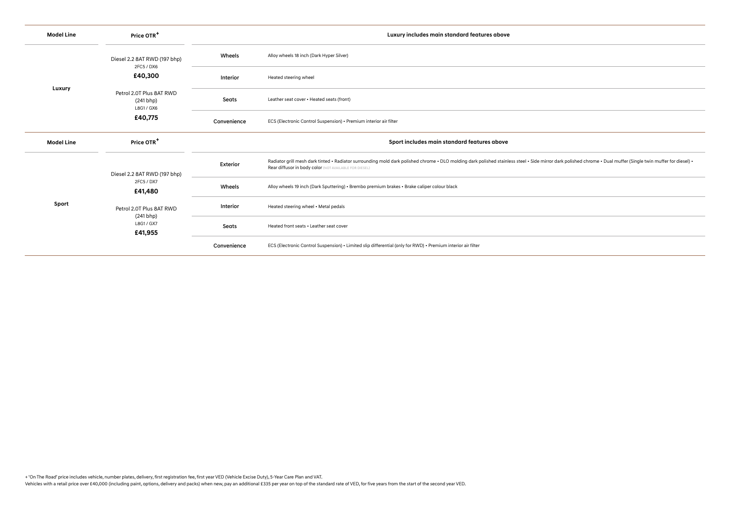| <b>Model Line</b> | Price OTR <sup>+</sup>                                                                                                  |             | Luxury includes main standard features above                                                                                                                                                                                                                              |  |  |
|-------------------|-------------------------------------------------------------------------------------------------------------------------|-------------|---------------------------------------------------------------------------------------------------------------------------------------------------------------------------------------------------------------------------------------------------------------------------|--|--|
|                   | Diesel 2.2 8AT RWD (197 bhp)<br>2FC5 / DX6                                                                              | Wheels      | Alloy wheels 18 inch (Dark Hyper Silver)                                                                                                                                                                                                                                  |  |  |
|                   | £40,300                                                                                                                 | Interior    | Heated steering wheel                                                                                                                                                                                                                                                     |  |  |
| Luxury            | Petrol 2.0T Plus 8AT RWD<br>(241 bhp)<br>L8G1 / GX6                                                                     | Seats       | Leather seat cover . Heated seats (front)                                                                                                                                                                                                                                 |  |  |
|                   | £40,775                                                                                                                 | Convenience | ECS (Electronic Control Suspension) • Premium interior air filter                                                                                                                                                                                                         |  |  |
| <b>Model Line</b> | Price OTR <sup>+</sup>                                                                                                  |             | Sport includes main standard features above                                                                                                                                                                                                                               |  |  |
|                   | Diesel 2.2 8AT RWD (197 bhp)<br>2FC5 / DX7<br>£41,480<br>Petrol 2.0T Plus 8AT RWD<br>(241 bhp)<br>L8G1 / GX7<br>£41,955 | Exterior    | Radiator grill mesh dark tinted · Radiator surrounding mold dark polished chrome · DLO molding dark polished stainless steel · Side mirror dark polished chrome · Dual muffer (Single twin muffer for diesel) ·<br>Rear diffusor in body color (NOT AVAILABLE FOR DIESEL) |  |  |
|                   |                                                                                                                         | Wheels      | Alloy wheels 19 inch (Dark Sputtering) • Brembo premium brakes • Brake caliper colour black                                                                                                                                                                               |  |  |
| Sport             |                                                                                                                         | Interior    | Heated steering wheel • Metal pedals                                                                                                                                                                                                                                      |  |  |
|                   |                                                                                                                         | Seats       | Heated front seats . Leather seat cover                                                                                                                                                                                                                                   |  |  |
|                   |                                                                                                                         | Convenience | ECS (Electronic Control Suspension) • Limited slip differential (only for RWD) • Premium interior air filter                                                                                                                                                              |  |  |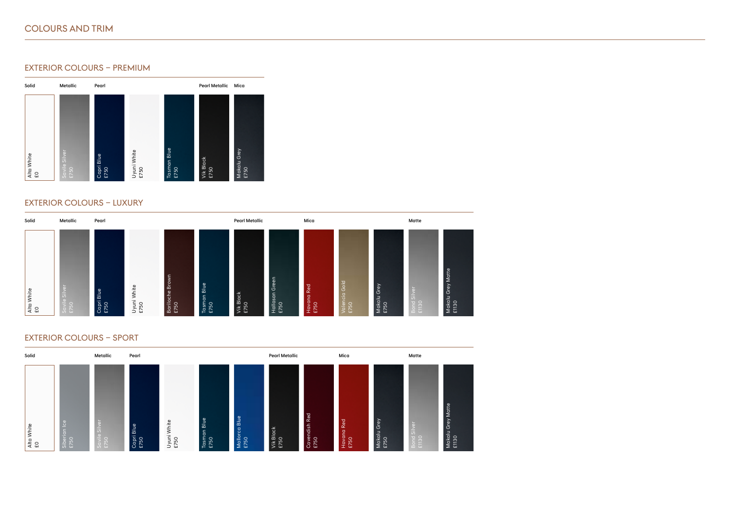# COLOURS AND TRIM

# EXTERIOR COLOURS – PREMIUM



#### EXTERIOR COLOURS – LUXURY



# EXTERIOR COLOURS – Sport

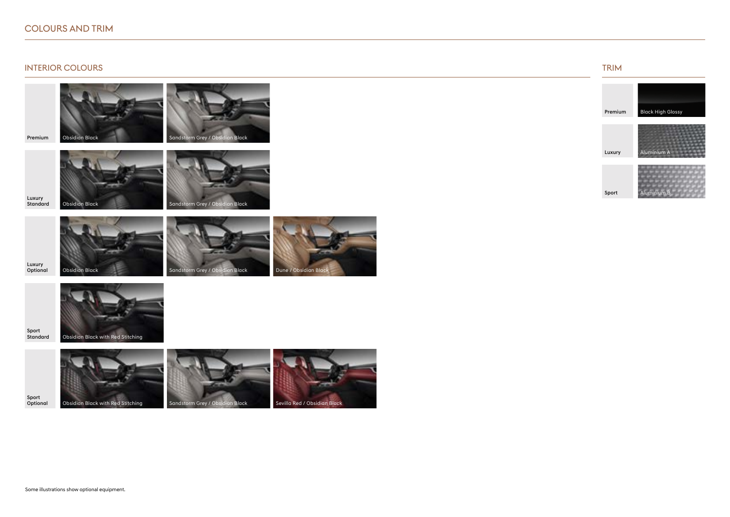## COLOURS AND TRIM

#### INTERIOR COLOURS TRIM AND RESERVED FOR A SERVED ON THE SERVED OF THE SERVED ON THE SERVED OF TRIM AND TRIM AND TRIM

Obsidian Black

Standard Obsidian Black Sandstorm Grey / Obsidian Black

Luxury

Premium



Sport<br>Standard

Sport



Obsidian Black with Red Stitching



Sandstorm Grey / Obsidian Black





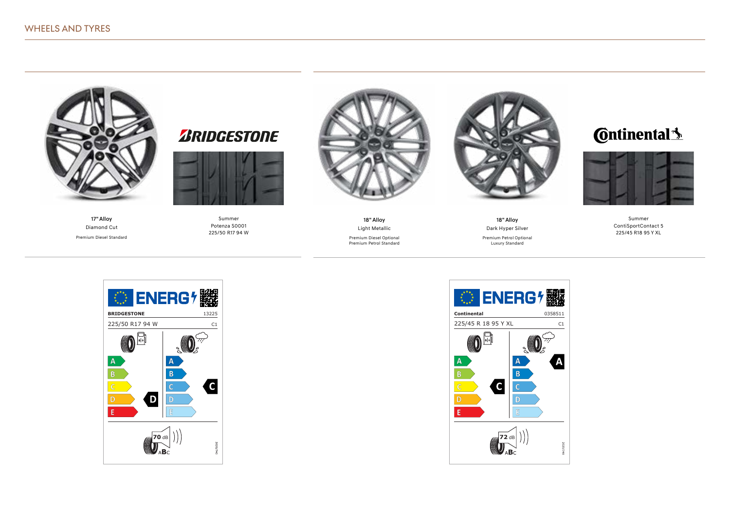

17" Alloy Diamond Cut Premium Diesel Standard



Summer Potenza S0001 225/50 R17 94 W



18" Alloy Light Metallic

Premium Diesel Optional Premium Petrol Standard



18" Alloy Dark Hyper Silver

Premium Petrol Optional Luxury Standard

# **C**ntinental<sup>1</sup>



Summer ContiSportContact 5 225/45 R18 95 Y XL



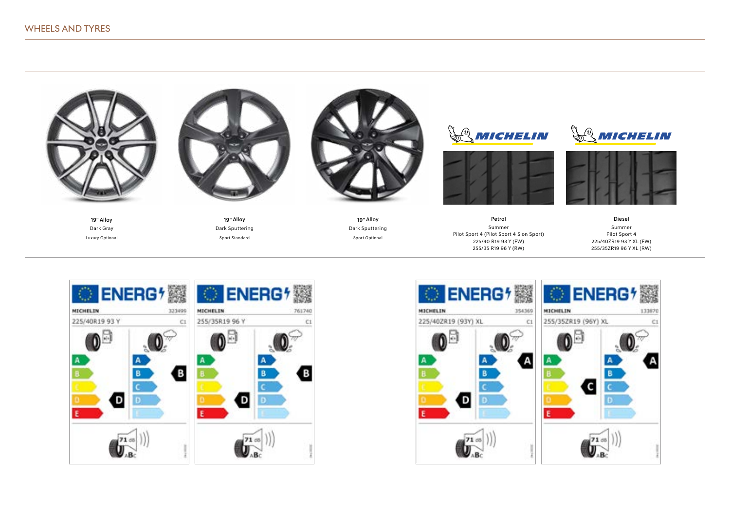

19" Alloy Dark Gray Luxury Optional



19" Alloy Dark Sputtering Sport Standard



19" Alloy Dark Sputtering Sport Optional





Petrol Summer Pilot Sport 4 (Pilot Sport 4 S on Sport) 225/40 R19 93 Y (FW) 255/35 R19 96 Y (RW)





Diesel Summer Pilot Sport 4 225/40ZR19 93 Y XL (FW) 255/35ZR19 96 Y XL (RW)



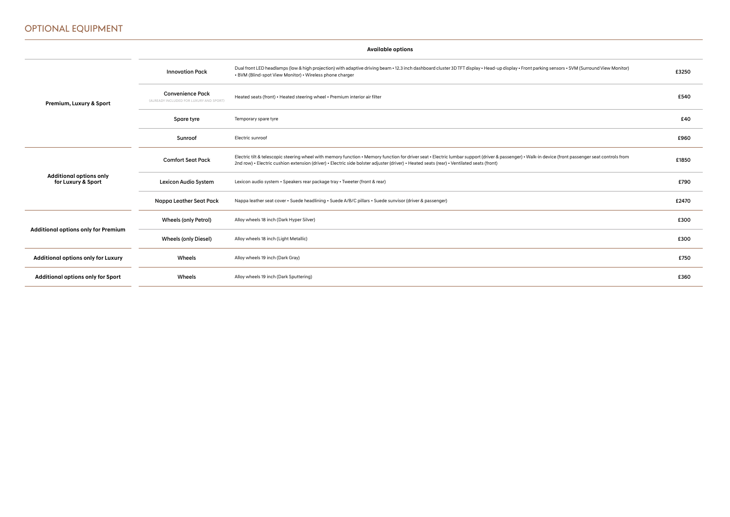# Optional Equipment

|                                                      | <b>Available options</b>                                           |                                                                                                                                                                                                                                                                                                                                                   |       |  |
|------------------------------------------------------|--------------------------------------------------------------------|---------------------------------------------------------------------------------------------------------------------------------------------------------------------------------------------------------------------------------------------------------------------------------------------------------------------------------------------------|-------|--|
|                                                      | <b>Innovation Pack</b>                                             | Dual front LED headlamps (low & high projection) with adaptive driving beam - 12.3 inch dashboard cluster 3D TFT display - Head-up display - Front parking sensors - SVM (Surround View Monitor)<br>• BVM (Blind-spot View Monitor) • Wireless phone charger                                                                                      | £3250 |  |
| Premium, Luxury & Sport                              | <b>Convenience Pack</b><br>(ALREADY INCLUDED FOR LUXURY AND SPORT) | Heated seats (front) • Heated steering wheel • Premium interior air filter                                                                                                                                                                                                                                                                        | £540  |  |
|                                                      | Spare tyre                                                         | Temporary spare tyre                                                                                                                                                                                                                                                                                                                              | £40   |  |
|                                                      | Sunroof                                                            | Electric sunroof                                                                                                                                                                                                                                                                                                                                  | £960  |  |
|                                                      | <b>Comfort Seat Pack</b>                                           | Electric tilt & telescopic steering wheel with memory function • Memory function for driver seat • Electric lumbar support (driver & passenger) • Walk-in device (front passenger seat controls from<br>2nd row) • Electric cushion extension (driver) • Electric side bolster adjuster (driver) • Heated seats (rear) • Ventilated seats (front) | £1850 |  |
| <b>Additional options only</b><br>for Luxury & Sport | Lexicon Audio System                                               | Lexicon audio system • Speakers rear package tray • Tweeter (front & rear)                                                                                                                                                                                                                                                                        | £790  |  |
|                                                      | Nappa Leather Seat Pack                                            | Nappa leather seat cover • Suede headlining • Suede A/B/C pillars • Suede sunvisor (driver & passenger)                                                                                                                                                                                                                                           | £2470 |  |
| <b>Additional options only for Premium</b>           | <b>Wheels (only Petrol)</b>                                        | Alloy wheels 18 inch (Dark Hyper Silver)                                                                                                                                                                                                                                                                                                          | £300  |  |
|                                                      | <b>Wheels (only Diesel)</b>                                        | Alloy wheels 18 inch (Light Metallic)                                                                                                                                                                                                                                                                                                             | £300  |  |
| <b>Additional options only for Luxury</b>            | Wheels                                                             | Alloy wheels 19 inch (Dark Gray)                                                                                                                                                                                                                                                                                                                  | £750  |  |
| Additional options only for Sport                    | Wheels                                                             | Alloy wheels 19 inch (Dark Sputtering)                                                                                                                                                                                                                                                                                                            | £360  |  |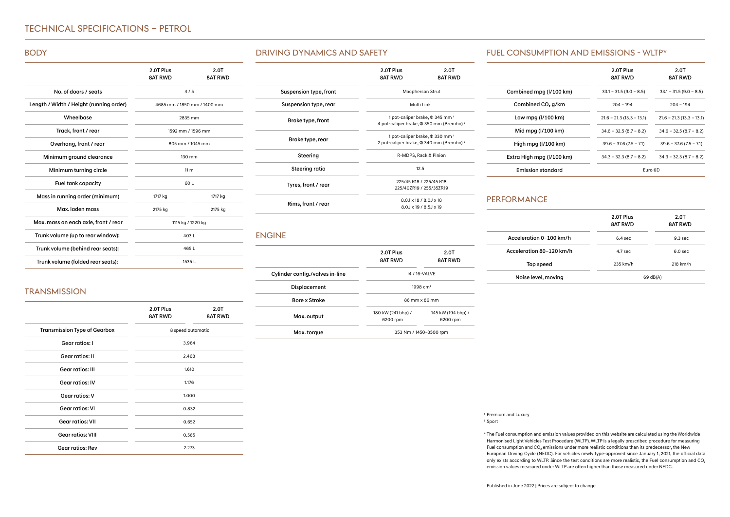# Technical specifications – PETROL

#### BODY

|                                         | 2.0T Plus<br><b>8AT RWD</b> | 2.0T<br><b>8AT RWD</b>      |
|-----------------------------------------|-----------------------------|-----------------------------|
| No. of doors / seats                    |                             | 4/5                         |
| Length / Width / Height (running order) |                             | 4685 mm / 1850 mm / 1400 mm |
| Wheelbase                               |                             | 2835 mm                     |
| Track, front / rear                     |                             | 1592 mm / 1596 mm           |
| Overhang, front / rear                  |                             | 805 mm / 1045 mm            |
| Minimum ground clearance                |                             | $130$ mm                    |
| Minimum turning circle                  |                             | 11 <sub>m</sub>             |
| <b>Fuel tank capacity</b>               |                             | 60 L                        |
| Mass in running order (minimum)         | 1717 kg                     | 1717 kg                     |
| Max. laden mass                         | 2175 kg                     | 2175 kg                     |
| Max. mass on each axle, front / rear    |                             | 1115 kg / 1220 kg           |
| Trunk volume (up to rear window):       |                             | 403L                        |
| Trunk volume (behind rear seats):       | 465 L                       |                             |
| Trunk volume (folded rear seats):       | 1535L                       |                             |

#### Driving Dynamics and Safety

|                        | 2.0T Plus<br><b>8AT RWD</b> | 2.0T<br><b>8AT RWD</b>                                                                                      |  |
|------------------------|-----------------------------|-------------------------------------------------------------------------------------------------------------|--|
| Suspension type, front |                             | Macpherson Strut                                                                                            |  |
| Suspension type, rear  | Multi Link                  |                                                                                                             |  |
| Brake type, front      |                             | 1 pot-caliper brake, $\Phi$ 345 mm <sup>1</sup><br>4 pot-caliper brake, $\Phi$ 350 mm (Brembo) <sup>2</sup> |  |
| Brake type, rear       |                             | 1 pot-caliper brake, $\Phi$ 330 mm <sup>1</sup><br>2 pot-caliper brake, $\Phi$ 340 mm (Brembo) <sup>2</sup> |  |
| Steering               | R-MDPS, Rack & Pinion       |                                                                                                             |  |
| Steering ratio         | 12.5                        |                                                                                                             |  |
| Tyres, front / rear    |                             | 225/45 R18 / 225/45 R18<br>225/407R19 / 255/357R19                                                          |  |
| Rims, front / rear     |                             | 8.0.1 x 18 / 8.0.1 x 18<br>8.0.1 x 19 / 8.5.1 x 19                                                          |  |

#### **ENGINE**

|                                 | 2.0T Plus<br><b>8AT RWD</b>    | 2.0T<br><b>8AT RWD</b>         |  |  |
|---------------------------------|--------------------------------|--------------------------------|--|--|
| Cylinder config./valves in-line | 14 / 16-VALVE                  |                                |  |  |
| Displacement                    | $1998 \, \text{cm}^3$          |                                |  |  |
| <b>Bore x Stroke</b>            |                                | 86 mm x 86 mm                  |  |  |
| Max. output                     | 180 kW (241 bhp) /<br>6200 rpm | 145 kW (194 bhp) /<br>6200 rpm |  |  |
| Max. torque                     |                                | 353 Nm / 1450-3500 rpm         |  |  |

#### Fuel consumption AND EMISSIONS - WLTP\*

|                           | 2.0T Plus<br><b>8AT RWD</b> | 2.0T<br><b>8AT RWD</b>     |
|---------------------------|-----------------------------|----------------------------|
| Combined mpg (I/100 km)   | $33.1 - 31.5(9.0 - 8.5)$    | $33.1 - 31.5(9.0 - 8.5)$   |
| Combined CO, g/km         | $204 - 194$                 | $204 - 194$                |
| Low mpg $(l/100 km)$      | $21.6 - 21.3(13.3 - 13.1)$  | $21.6 - 21.3(13.3 - 13.1)$ |
| Mid mpg (I/100 km)        | $34.6 - 32.5(8.7 - 8.2)$    | $34.6 - 32.5(8.7 - 8.2)$   |
| High mpg (I/100 km)       | $39.6 - 37.6(7.5 - 7.1)$    | $39.6 - 37.6(7.5 - 7.1)$   |
| Extra High mpg (I/100 km) | $34.3 - 32.3(8.7 - 8.2)$    | $34.3 - 32.3(8.7 - 8.2)$   |
| <b>Emission standard</b>  | Furo 6D                     |                            |

## PERFORMANCE

|                          | 2.0T Plus<br><b>8AT RWD</b> | 2.0T<br><b>8AT RWD</b> |
|--------------------------|-----------------------------|------------------------|
| Acceleration 0-100 km/h  | $6.4$ sec.                  | $9.3$ sec.             |
| Acceleration 80-120 km/h | $4.7$ sec.                  | $6.0$ sec.             |
| Top speed                | 235 km/h                    | 218 km/h               |
| Noise level, moving      |                             | 69 dB(A)               |

# **TRANSMISSION**

|                                     | 2.0T Plus<br><b>8AT RWD</b> | 2.0T<br><b>8AT RWD</b> |
|-------------------------------------|-----------------------------|------------------------|
| <b>Transmission Type of Gearbox</b> |                             | 8 speed automatic      |
| Gear ratios: I                      |                             | 3.964                  |
| <b>Gear ratios: II</b>              |                             | 2.468                  |
| <b>Gear ratios: III</b>             |                             | 1.610                  |
| <b>Gear ratios: IV</b>              |                             | 1.176                  |
| Gear ratios: V                      |                             | 1.000                  |
| <b>Gear ratios: VI</b>              |                             | 0.832                  |
| <b>Gear ratios: VII</b>             |                             | 0.652                  |
| <b>Gear ratios: VIII</b>            |                             | 0.565                  |
| Gear ratios: Rev                    |                             | 2.273                  |

Premium and Luxury 1

<sup>2</sup> Sport

The Fuel consumption and emission values provided on this website are calculated using the Worldwide \* Harmonised Light Vehicles Test Procedure (WLTP). WLTP is a legally prescribed procedure for measuring Fuel consumption and  $CO<sub>2</sub>$  emissions under more realistic conditions than its predecessor, the New European Driving Cycle (NEDC). For vehicles newly type-approved since January 1, 2021, the official data only exists according to WLTP. Since the test conditions are more realistic, the Fuel consumption and CO<sub>2</sub> emission values measured under WLTP are often higher than those measured under NEDC.

Published in June 2022 | Prices are subject to change